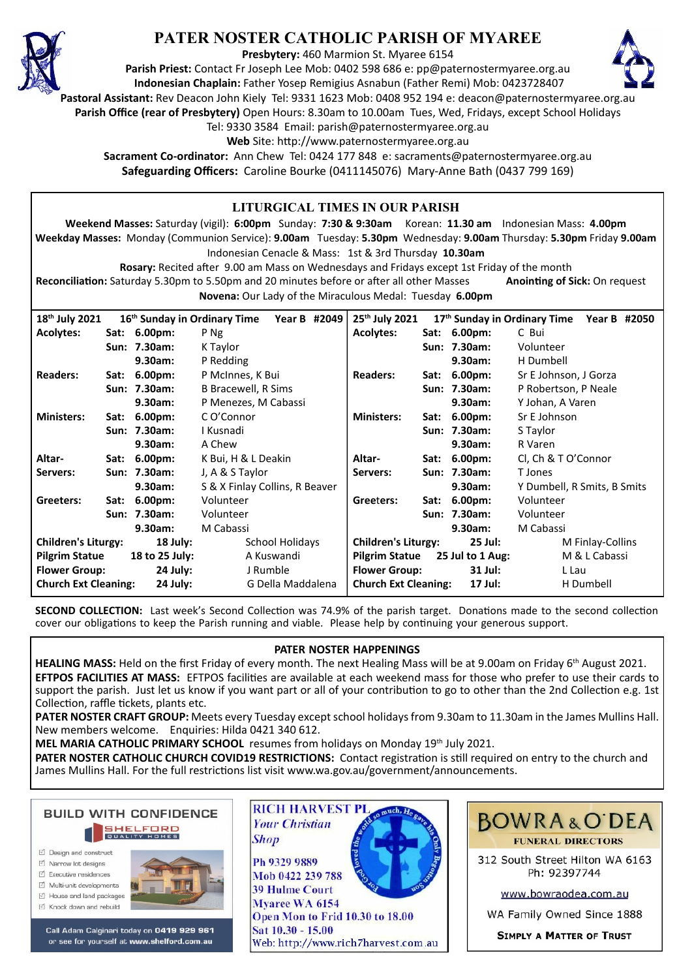

# **PATER NOSTER CATHOLIC PARISH OF MYAREE**

**Presbytery:** 460 Marmion St. Myaree 6154

**Parish Priest:** Contact Fr Joseph Lee Mob: 0402 598 686 e: pp@paternostermyaree.org.au **Indonesian Chaplain:** Father Yosep Remigius Asnabun (Father Remi) Mob: 0423728407



**Pastoral Assistant:** Rev Deacon John Kiely Tel: 9331 1623 Mob: 0408 952 194 e: deacon@paternostermyaree.org.au

**Parish Office (rear of Presbytery)** Open Hours: 8.30am to 10.00am Tues, Wed, Fridays, except School Holidays

Tel: 9330 3584 Email: parish@paternostermyaree.org.au

Web Site: http://www.paternostermyaree.org.au

**Sacrament Co-ordinator:** Ann Chew Tel: 0424 177 848 e: sacraments@paternostermyaree.org.au **Safeguarding Officers:** Caroline Bourke (0411145076) Mary-Anne Bath (0437 799 169)

| <b>LITURGICAL TIMES IN OUR PARISH</b>                                                                                             |  |                        |                                    |                            |                                           |                                        |                  |                             |                                       |              |  |
|-----------------------------------------------------------------------------------------------------------------------------------|--|------------------------|------------------------------------|----------------------------|-------------------------------------------|----------------------------------------|------------------|-----------------------------|---------------------------------------|--------------|--|
| Weekend Masses: Saturday (vigil): 6:00pm Sunday: 7:30 & 9:30am Korean: 11.30 am Indonesian Mass: 4.00pm                           |  |                        |                                    |                            |                                           |                                        |                  |                             |                                       |              |  |
| Weekday Masses: Monday (Communion Service): 9.00am Tuesday: 5.30pm Wednesday: 9.00am Thursday: 5.30pm Friday 9.00am               |  |                        |                                    |                            |                                           |                                        |                  |                             |                                       |              |  |
| Indonesian Cenacle & Mass: 1st & 3rd Thursday 10.30am                                                                             |  |                        |                                    |                            |                                           |                                        |                  |                             |                                       |              |  |
| Rosary: Recited after 9.00 am Mass on Wednesdays and Fridays except 1st Friday of the month                                       |  |                        |                                    |                            |                                           |                                        |                  |                             |                                       |              |  |
| Reconciliation: Saturday 5.30pm to 5.50pm and 20 minutes before or after all other Masses<br><b>Anointing of Sick: On request</b> |  |                        |                                    |                            |                                           |                                        |                  |                             |                                       |              |  |
| <b>Novena:</b> Our Lady of the Miraculous Medal: Tuesday 6.00pm                                                                   |  |                        |                                    |                            |                                           |                                        |                  |                             |                                       |              |  |
|                                                                                                                                   |  |                        | 16th Sunday in Ordinary Time       | Year B #2049               |                                           | 25th July 2021                         |                  |                             |                                       | Year B #2050 |  |
| 18th July 2021<br><b>Acolytes:</b>                                                                                                |  | Sat: 6.00pm:           | P Ng                               |                            |                                           | <b>Acolytes:</b>                       |                  | Sat: 6.00pm:                | 17th Sunday in Ordinary Time<br>C Bui |              |  |
|                                                                                                                                   |  | Sun: 7.30am:           | K Taylor                           |                            |                                           |                                        |                  | Sun: 7.30am:                | Volunteer                             |              |  |
|                                                                                                                                   |  | 9.30am:                | P Redding                          |                            |                                           |                                        |                  | 9.30am:                     | H Dumbell                             |              |  |
| <b>Readers:</b>                                                                                                                   |  | Sat: 6.00pm:           | P McInnes, K Bui                   |                            |                                           | <b>Readers:</b>                        |                  | Sat: 6.00pm:                | Sr E Johnson, J Gorza                 |              |  |
|                                                                                                                                   |  | Sun: 7.30am:           | <b>B Bracewell, R Sims</b>         |                            |                                           |                                        |                  | Sun: 7.30am:                | P Robertson, P Neale                  |              |  |
|                                                                                                                                   |  | 9.30am:                |                                    |                            |                                           |                                        |                  | 9.30am:                     | Y Johan, A Varen                      |              |  |
| <b>Ministers:</b>                                                                                                                 |  | Sat: 6.00pm:           | P Menezes, M Cabassi<br>C O'Connor |                            |                                           | <b>Ministers:</b>                      |                  | Sat: 6.00pm:                | Sr E Johnson                          |              |  |
|                                                                                                                                   |  | Sun: 7.30am:           | I Kusnadi                          |                            |                                           |                                        |                  | Sun: 7.30am:                | S Taylor                              |              |  |
|                                                                                                                                   |  | 9.30am:                | A Chew                             |                            |                                           |                                        |                  | 9.30am:                     | R Varen                               |              |  |
| Altar-                                                                                                                            |  | Sat: 6.00pm:           | K Bui, H & L Deakin                |                            |                                           | Altar-                                 |                  | Sat: 6.00pm:                | Cl, Ch & T O'Connor                   |              |  |
| Servers:                                                                                                                          |  | Sun: 7.30am:           | J, A & S Taylor                    |                            |                                           | Servers:                               |                  | Sun: 7.30am:                | T Jones                               |              |  |
| 9.30am:                                                                                                                           |  |                        | S & X Finlay Collins, R Beaver     |                            | 9.30am:                                   |                                        |                  | Y Dumbell, R Smits, B Smits |                                       |              |  |
| Greeters:                                                                                                                         |  | Sat: 6.00pm:           | Volunteer                          |                            |                                           | Greeters:                              |                  | Sat: 6.00pm:                | Volunteer                             |              |  |
|                                                                                                                                   |  | Sun: 7.30am:           | Volunteer                          |                            |                                           |                                        |                  | Sun: 7.30am:                | Volunteer                             |              |  |
| M Cabassi<br>9.30am:                                                                                                              |  |                        |                                    |                            |                                           | 9.30am:                                | M Cabassi        |                             |                                       |              |  |
| <b>Children's Liturgy:</b><br>18 July:                                                                                            |  | <b>School Holidays</b> |                                    | <b>Children's Liturgy:</b> |                                           | 25 Jul:                                | M Finlay-Collins |                             |                                       |              |  |
| <b>Pilgrim Statue</b>                                                                                                             |  | 18 to 25 July:         | A Kuswandi                         |                            | <b>Pilgrim Statue</b><br>25 Jul to 1 Aug: |                                        | M & L Cabassi    |                             |                                       |              |  |
| <b>Flower Group:</b>                                                                                                              |  | 24 July:               | J Rumble                           |                            | <b>Flower Group:</b><br>31 Jul:           |                                        | L Lau            |                             |                                       |              |  |
| <b>Church Ext Cleaning:</b>                                                                                                       |  | 24 July:               | G Della Maddalena                  |                            |                                           | <b>Church Ext Cleaning:</b><br>17 Jul: |                  |                             | H Dumbell                             |              |  |
|                                                                                                                                   |  |                        |                                    |                            |                                           |                                        |                  |                             |                                       |              |  |

**SECOND COLLECTION:** Last week's Second Collection was 74.9% of the parish target. Donations made to the second collection cover our obligations to keep the Parish running and viable. Please help by continuing your generous support.

### **PATER NOSTER HAPPENINGS**

**HEALING MASS:** Held on the first Friday of every month. The next Healing Mass will be at 9.00am on Friday 6th August 2021. **EFTPOS FACILITIES AT MASS:** EFTPOS facili�es are available at each weekend mass for those who prefer to use their cards to support the parish. Just let us know if you want part or all of your contribution to go to other than the 2nd Collection e.g. 1st Collection, raffle tickets, plants etc.

**PATER NOSTER CRAFT GROUP:** Meets every Tuesday except school holidays from 9.30am to 11.30am in the James Mullins Hall. New members welcome. Enquiries: Hilda 0421 340 612.

**MEL MARIA CATHOLIC PRIMARY SCHOOL** resumes from holidays on Monday 19th July 2021.

**Shop** 

PATER NOSTER CATHOLIC CHURCH COVID19 RESTRICTIONS: Contact registration is still required on entry to the church and James Mullins Hall. For the full restrictions list visit www.wa.gov.au/government/announcements.



- □ Design and construct
- □ Narrow lot designs
- $\triangledown$  Executive residences Multi-unit developments
- M House and land packages
- ☑ Knock down and rebuild



Call Adam Calginari today on 0419 929 961 or see for yourself at www.shelford.com.au



Ph 9329 9889 Mob 0422 239 788 **39 Hulme Court** Myaree WA 6154 Open Mon to Frid 10.30 to 18.00 Sat 10.30 - 15.00 Web: http://www.rich7harvest.com.au



312 South Street Hilton WA 6163 Ph: 92397744

www.bowraodea.com.au

WA Family Owned Since 1888

**SIMPLY A MATTER OF TRUST**